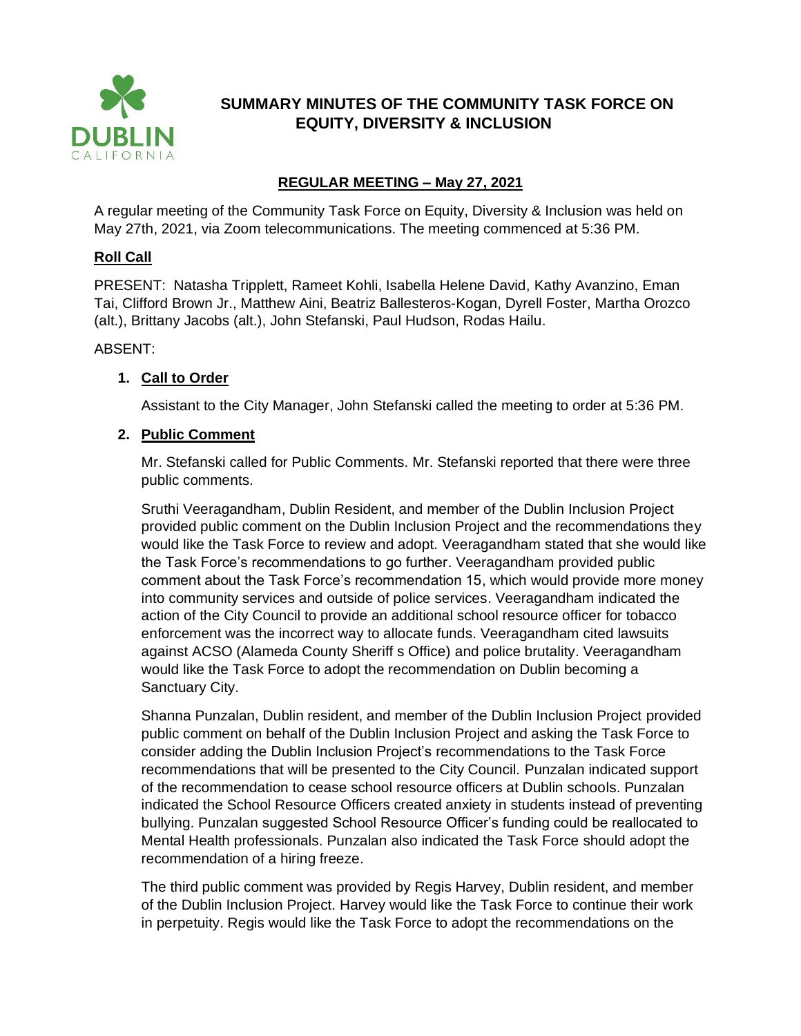

# **SUMMARY MINUTES OF THE COMMUNITY TASK FORCE ON EQUITY, DIVERSITY & INCLUSION**

## **REGULAR MEETING – May 27, 2021**

A regular meeting of the Community Task Force on Equity, Diversity & Inclusion was held on May 27th, 2021, via Zoom telecommunications. The meeting commenced at 5:36 PM.

### **Roll Call**

PRESENT: Natasha Tripplett, Rameet Kohli, Isabella Helene David, Kathy Avanzino, Eman Tai, Clifford Brown Jr., Matthew Aini, Beatriz Ballesteros-Kogan, Dyrell Foster, Martha Orozco (alt.), Brittany Jacobs (alt.), John Stefanski, Paul Hudson, Rodas Hailu.

ABSENT:

## **1. Call to Order**

Assistant to the City Manager, John Stefanski called the meeting to order at 5:36 PM.

#### **2. Public Comment**

Mr. Stefanski called for Public Comments. Mr. Stefanski reported that there were three public comments.

Sruthi Veeragandham, Dublin Resident, and member of the Dublin Inclusion Project provided public comment on the Dublin Inclusion Project and the recommendations they would like the Task Force to review and adopt. Veeragandham stated that she would like the Task Force's recommendations to go further. Veeragandham provided public comment about the Task Force's recommendation 15, which would provide more money into community services and outside of police services. Veeragandham indicated the action of the City Council to provide an additional school resource officer for tobacco enforcement was the incorrect way to allocate funds. Veeragandham cited lawsuits against ACSO (Alameda County Sheriff s Office) and police brutality. Veeragandham would like the Task Force to adopt the recommendation on Dublin becoming a Sanctuary City.

Shanna Punzalan, Dublin resident, and member of the Dublin Inclusion Project provided public comment on behalf of the Dublin Inclusion Project and asking the Task Force to consider adding the Dublin Inclusion Project's recommendations to the Task Force recommendations that will be presented to the City Council. Punzalan indicated support of the recommendation to cease school resource officers at Dublin schools. Punzalan indicated the School Resource Officers created anxiety in students instead of preventing bullying. Punzalan suggested School Resource Officer's funding could be reallocated to Mental Health professionals. Punzalan also indicated the Task Force should adopt the recommendation of a hiring freeze.

The third public comment was provided by Regis Harvey, Dublin resident, and member of the Dublin Inclusion Project. Harvey would like the Task Force to continue their work in perpetuity. Regis would like the Task Force to adopt the recommendations on the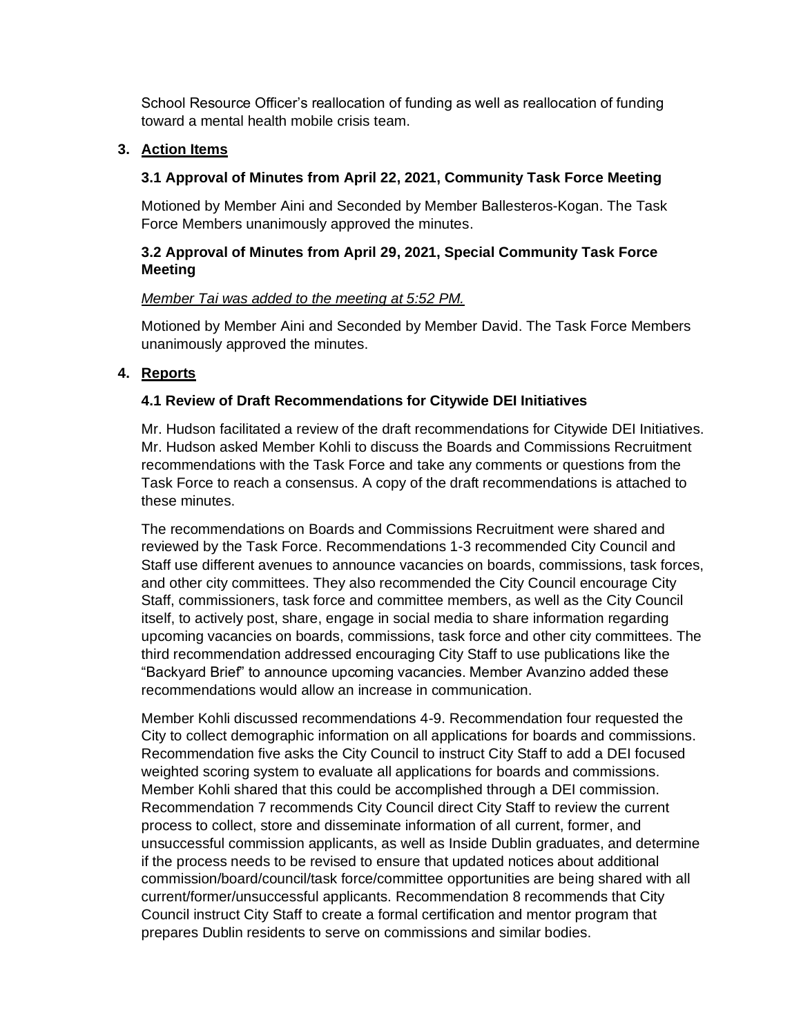School Resource Officer's reallocation of funding as well as reallocation of funding toward a mental health mobile crisis team.

#### **3. Action Items**

### **3.1 Approval of Minutes from April 22, 2021, Community Task Force Meeting**

Motioned by Member Aini and Seconded by Member Ballesteros-Kogan. The Task Force Members unanimously approved the minutes.

### **3.2 Approval of Minutes from April 29, 2021, Special Community Task Force Meeting**

#### *Member Tai was added to the meeting at 5:52 PM.*

Motioned by Member Aini and Seconded by Member David. The Task Force Members unanimously approved the minutes.

### **4. Reports**

#### **4.1 Review of Draft Recommendations for Citywide DEI Initiatives**

Mr. Hudson facilitated a review of the draft recommendations for Citywide DEI Initiatives. Mr. Hudson asked Member Kohli to discuss the Boards and Commissions Recruitment recommendations with the Task Force and take any comments or questions from the Task Force to reach a consensus. A copy of the draft recommendations is attached to these minutes.

The recommendations on Boards and Commissions Recruitment were shared and reviewed by the Task Force. Recommendations 1-3 recommended City Council and Staff use different avenues to announce vacancies on boards, commissions, task forces, and other city committees. They also recommended the City Council encourage City Staff, commissioners, task force and committee members, as well as the City Council itself, to actively post, share, engage in social media to share information regarding upcoming vacancies on boards, commissions, task force and other city committees. The third recommendation addressed encouraging City Staff to use publications like the "Backyard Brief" to announce upcoming vacancies. Member Avanzino added these recommendations would allow an increase in communication.

Member Kohli discussed recommendations 4-9. Recommendation four requested the City to collect demographic information on all applications for boards and commissions. Recommendation five asks the City Council to instruct City Staff to add a DEI focused weighted scoring system to evaluate all applications for boards and commissions. Member Kohli shared that this could be accomplished through a DEI commission. Recommendation 7 recommends City Council direct City Staff to review the current process to collect, store and disseminate information of all current, former, and unsuccessful commission applicants, as well as Inside Dublin graduates, and determine if the process needs to be revised to ensure that updated notices about additional commission/board/council/task force/committee opportunities are being shared with all current/former/unsuccessful applicants. Recommendation 8 recommends that City Council instruct City Staff to create a formal certification and mentor program that prepares Dublin residents to serve on commissions and similar bodies.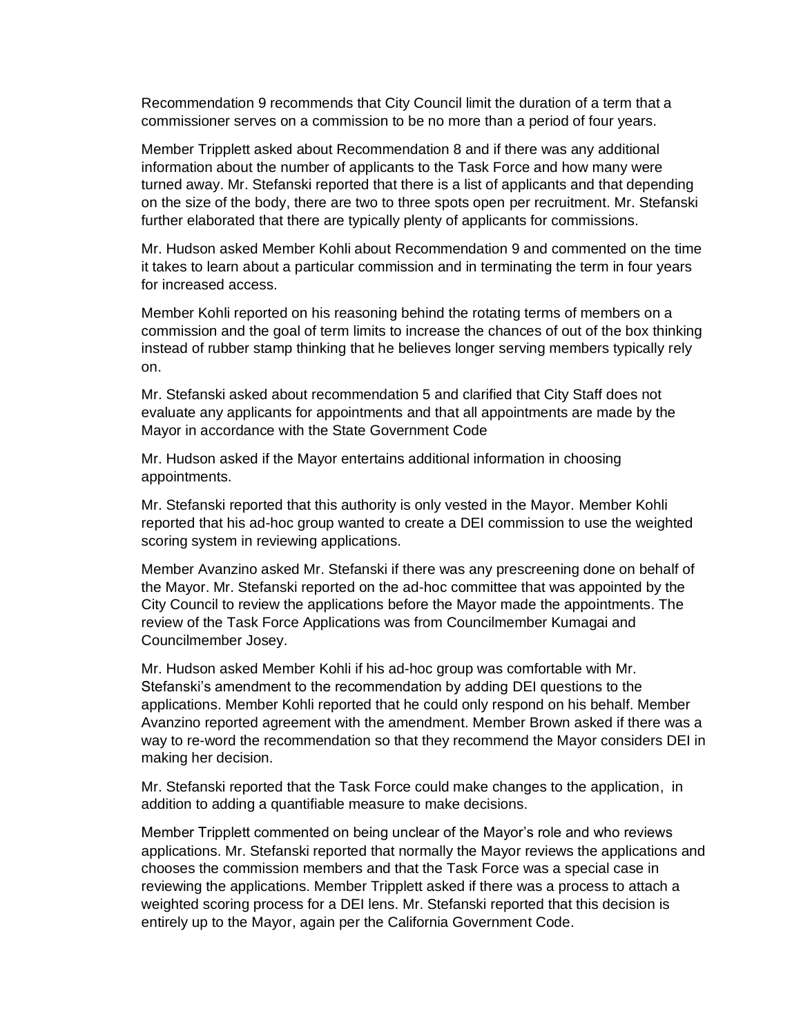Recommendation 9 recommends that City Council limit the duration of a term that a commissioner serves on a commission to be no more than a period of four years.

Member Tripplett asked about Recommendation 8 and if there was any additional information about the number of applicants to the Task Force and how many were turned away. Mr. Stefanski reported that there is a list of applicants and that depending on the size of the body, there are two to three spots open per recruitment. Mr. Stefanski further elaborated that there are typically plenty of applicants for commissions.

Mr. Hudson asked Member Kohli about Recommendation 9 and commented on the time it takes to learn about a particular commission and in terminating the term in four years for increased access.

Member Kohli reported on his reasoning behind the rotating terms of members on a commission and the goal of term limits to increase the chances of out of the box thinking instead of rubber stamp thinking that he believes longer serving members typically rely on.

Mr. Stefanski asked about recommendation 5 and clarified that City Staff does not evaluate any applicants for appointments and that all appointments are made by the Mayor in accordance with the State Government Code

Mr. Hudson asked if the Mayor entertains additional information in choosing appointments.

Mr. Stefanski reported that this authority is only vested in the Mayor. Member Kohli reported that his ad-hoc group wanted to create a DEI commission to use the weighted scoring system in reviewing applications.

Member Avanzino asked Mr. Stefanski if there was any prescreening done on behalf of the Mayor. Mr. Stefanski reported on the ad-hoc committee that was appointed by the City Council to review the applications before the Mayor made the appointments. The review of the Task Force Applications was from Councilmember Kumagai and Councilmember Josey.

Mr. Hudson asked Member Kohli if his ad-hoc group was comfortable with Mr. Stefanski's amendment to the recommendation by adding DEI questions to the applications. Member Kohli reported that he could only respond on his behalf. Member Avanzino reported agreement with the amendment. Member Brown asked if there was a way to re-word the recommendation so that they recommend the Mayor considers DEI in making her decision.

Mr. Stefanski reported that the Task Force could make changes to the application, in addition to adding a quantifiable measure to make decisions.

Member Tripplett commented on being unclear of the Mayor's role and who reviews applications. Mr. Stefanski reported that normally the Mayor reviews the applications and chooses the commission members and that the Task Force was a special case in reviewing the applications. Member Tripplett asked if there was a process to attach a weighted scoring process for a DEI lens. Mr. Stefanski reported that this decision is entirely up to the Mayor, again per the California Government Code.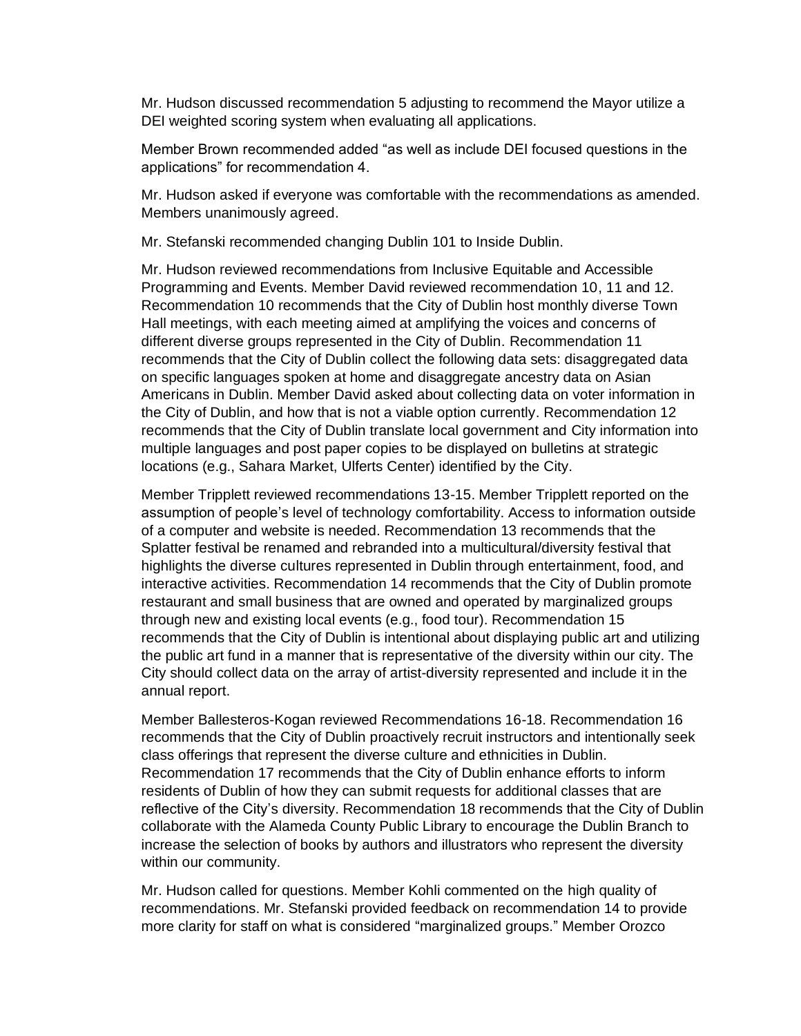Mr. Hudson discussed recommendation 5 adjusting to recommend the Mayor utilize a DEI weighted scoring system when evaluating all applications.

Member Brown recommended added "as well as include DEI focused questions in the applications" for recommendation 4.

Mr. Hudson asked if everyone was comfortable with the recommendations as amended. Members unanimously agreed.

Mr. Stefanski recommended changing Dublin 101 to Inside Dublin.

Mr. Hudson reviewed recommendations from Inclusive Equitable and Accessible Programming and Events. Member David reviewed recommendation 10, 11 and 12. Recommendation 10 recommends that the City of Dublin host monthly diverse Town Hall meetings, with each meeting aimed at amplifying the voices and concerns of different diverse groups represented in the City of Dublin. Recommendation 11 recommends that the City of Dublin collect the following data sets: disaggregated data on specific languages spoken at home and disaggregate ancestry data on Asian Americans in Dublin. Member David asked about collecting data on voter information in the City of Dublin, and how that is not a viable option currently. Recommendation 12 recommends that the City of Dublin translate local government and City information into multiple languages and post paper copies to be displayed on bulletins at strategic locations (e.g., Sahara Market, Ulferts Center) identified by the City.

Member Tripplett reviewed recommendations 13-15. Member Tripplett reported on the assumption of people's level of technology comfortability. Access to information outside of a computer and website is needed. Recommendation 13 recommends that the Splatter festival be renamed and rebranded into a multicultural/diversity festival that highlights the diverse cultures represented in Dublin through entertainment, food, and interactive activities. Recommendation 14 recommends that the City of Dublin promote restaurant and small business that are owned and operated by marginalized groups through new and existing local events (e.g., food tour). Recommendation 15 recommends that the City of Dublin is intentional about displaying public art and utilizing the public art fund in a manner that is representative of the diversity within our city. The City should collect data on the array of artist-diversity represented and include it in the annual report.

Member Ballesteros-Kogan reviewed Recommendations 16-18. Recommendation 16 recommends that the City of Dublin proactively recruit instructors and intentionally seek class offerings that represent the diverse culture and ethnicities in Dublin. Recommendation 17 recommends that the City of Dublin enhance efforts to inform residents of Dublin of how they can submit requests for additional classes that are reflective of the City's diversity. Recommendation 18 recommends that the City of Dublin collaborate with the Alameda County Public Library to encourage the Dublin Branch to increase the selection of books by authors and illustrators who represent the diversity within our community.

Mr. Hudson called for questions. Member Kohli commented on the high quality of recommendations. Mr. Stefanski provided feedback on recommendation 14 to provide more clarity for staff on what is considered "marginalized groups." Member Orozco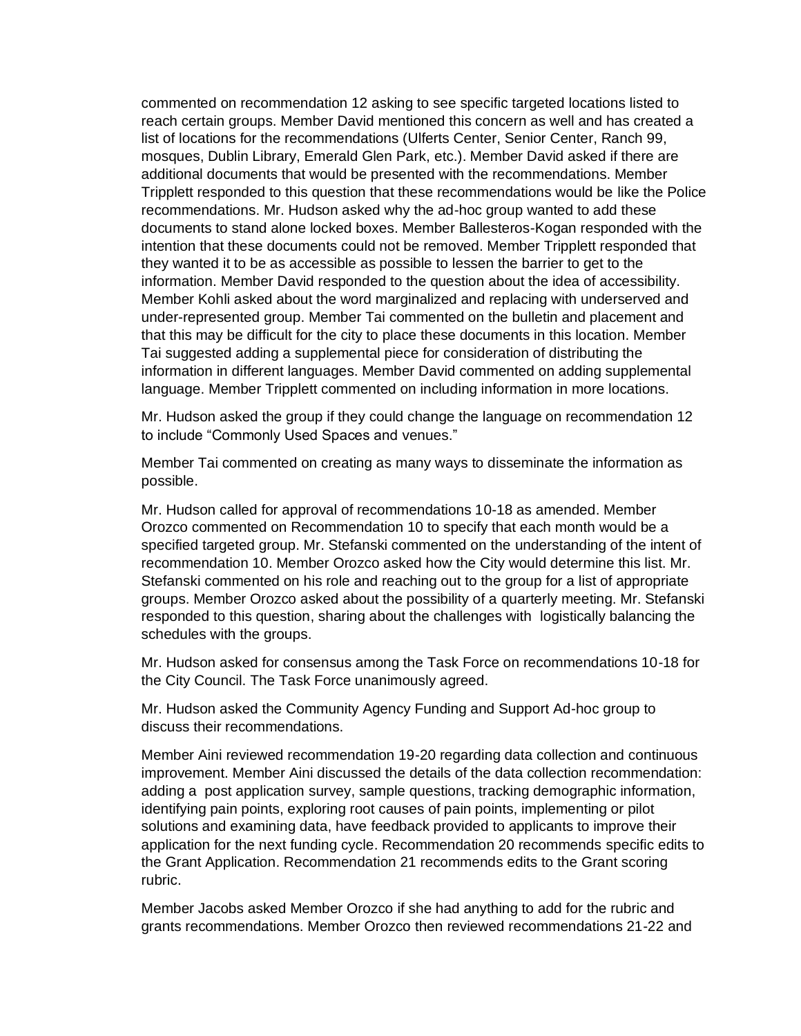commented on recommendation 12 asking to see specific targeted locations listed to reach certain groups. Member David mentioned this concern as well and has created a list of locations for the recommendations (Ulferts Center, Senior Center, Ranch 99, mosques, Dublin Library, Emerald Glen Park, etc.). Member David asked if there are additional documents that would be presented with the recommendations. Member Tripplett responded to this question that these recommendations would be like the Police recommendations. Mr. Hudson asked why the ad-hoc group wanted to add these documents to stand alone locked boxes. Member Ballesteros-Kogan responded with the intention that these documents could not be removed. Member Tripplett responded that they wanted it to be as accessible as possible to lessen the barrier to get to the information. Member David responded to the question about the idea of accessibility. Member Kohli asked about the word marginalized and replacing with underserved and under-represented group. Member Tai commented on the bulletin and placement and that this may be difficult for the city to place these documents in this location. Member Tai suggested adding a supplemental piece for consideration of distributing the information in different languages. Member David commented on adding supplemental language. Member Tripplett commented on including information in more locations.

Mr. Hudson asked the group if they could change the language on recommendation 12 to include "Commonly Used Spaces and venues."

Member Tai commented on creating as many ways to disseminate the information as possible.

Mr. Hudson called for approval of recommendations 10-18 as amended. Member Orozco commented on Recommendation 10 to specify that each month would be a specified targeted group. Mr. Stefanski commented on the understanding of the intent of recommendation 10. Member Orozco asked how the City would determine this list. Mr. Stefanski commented on his role and reaching out to the group for a list of appropriate groups. Member Orozco asked about the possibility of a quarterly meeting. Mr. Stefanski responded to this question, sharing about the challenges with logistically balancing the schedules with the groups.

Mr. Hudson asked for consensus among the Task Force on recommendations 10-18 for the City Council. The Task Force unanimously agreed.

Mr. Hudson asked the Community Agency Funding and Support Ad-hoc group to discuss their recommendations.

Member Aini reviewed recommendation 19-20 regarding data collection and continuous improvement. Member Aini discussed the details of the data collection recommendation: adding a post application survey, sample questions, tracking demographic information, identifying pain points, exploring root causes of pain points, implementing or pilot solutions and examining data, have feedback provided to applicants to improve their application for the next funding cycle. Recommendation 20 recommends specific edits to the Grant Application. Recommendation 21 recommends edits to the Grant scoring rubric.

Member Jacobs asked Member Orozco if she had anything to add for the rubric and grants recommendations. Member Orozco then reviewed recommendations 21-22 and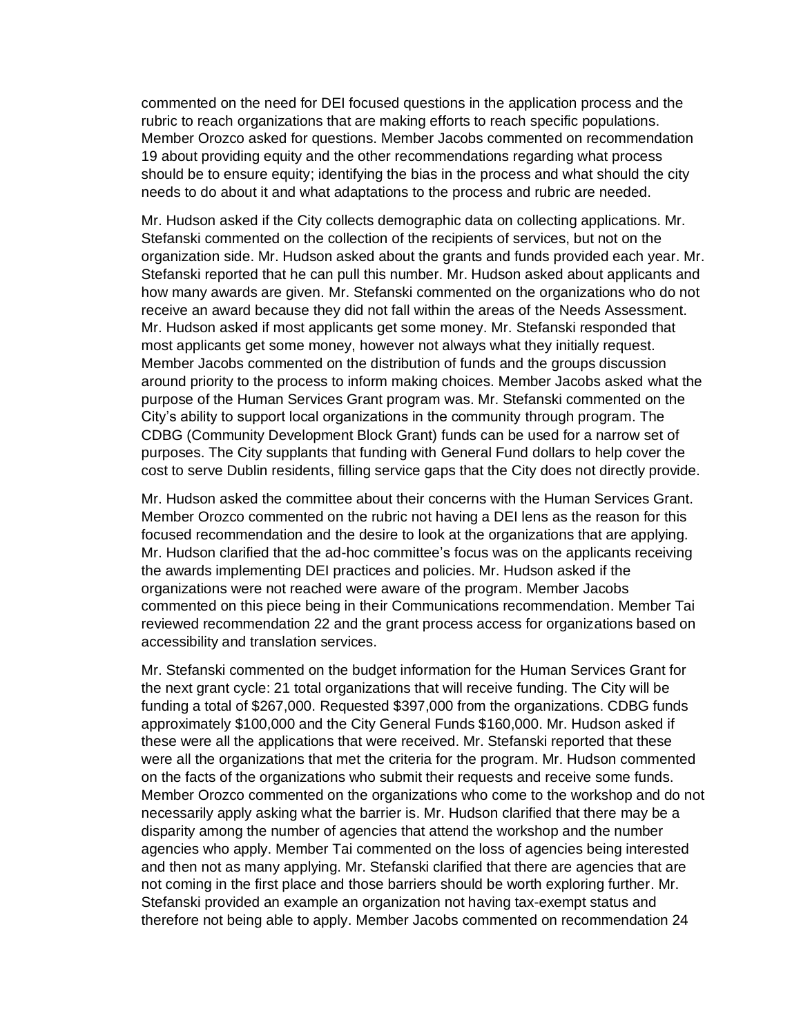commented on the need for DEI focused questions in the application process and the rubric to reach organizations that are making efforts to reach specific populations. Member Orozco asked for questions. Member Jacobs commented on recommendation 19 about providing equity and the other recommendations regarding what process should be to ensure equity; identifying the bias in the process and what should the city needs to do about it and what adaptations to the process and rubric are needed.

Mr. Hudson asked if the City collects demographic data on collecting applications. Mr. Stefanski commented on the collection of the recipients of services, but not on the organization side. Mr. Hudson asked about the grants and funds provided each year. Mr. Stefanski reported that he can pull this number. Mr. Hudson asked about applicants and how many awards are given. Mr. Stefanski commented on the organizations who do not receive an award because they did not fall within the areas of the Needs Assessment. Mr. Hudson asked if most applicants get some money. Mr. Stefanski responded that most applicants get some money, however not always what they initially request. Member Jacobs commented on the distribution of funds and the groups discussion around priority to the process to inform making choices. Member Jacobs asked what the purpose of the Human Services Grant program was. Mr. Stefanski commented on the City's ability to support local organizations in the community through program. The CDBG (Community Development Block Grant) funds can be used for a narrow set of purposes. The City supplants that funding with General Fund dollars to help cover the cost to serve Dublin residents, filling service gaps that the City does not directly provide.

Mr. Hudson asked the committee about their concerns with the Human Services Grant. Member Orozco commented on the rubric not having a DEI lens as the reason for this focused recommendation and the desire to look at the organizations that are applying. Mr. Hudson clarified that the ad-hoc committee's focus was on the applicants receiving the awards implementing DEI practices and policies. Mr. Hudson asked if the organizations were not reached were aware of the program. Member Jacobs commented on this piece being in their Communications recommendation. Member Tai reviewed recommendation 22 and the grant process access for organizations based on accessibility and translation services.

Mr. Stefanski commented on the budget information for the Human Services Grant for the next grant cycle: 21 total organizations that will receive funding. The City will be funding a total of \$267,000. Requested \$397,000 from the organizations. CDBG funds approximately \$100,000 and the City General Funds \$160,000. Mr. Hudson asked if these were all the applications that were received. Mr. Stefanski reported that these were all the organizations that met the criteria for the program. Mr. Hudson commented on the facts of the organizations who submit their requests and receive some funds. Member Orozco commented on the organizations who come to the workshop and do not necessarily apply asking what the barrier is. Mr. Hudson clarified that there may be a disparity among the number of agencies that attend the workshop and the number agencies who apply. Member Tai commented on the loss of agencies being interested and then not as many applying. Mr. Stefanski clarified that there are agencies that are not coming in the first place and those barriers should be worth exploring further. Mr. Stefanski provided an example an organization not having tax-exempt status and therefore not being able to apply. Member Jacobs commented on recommendation 24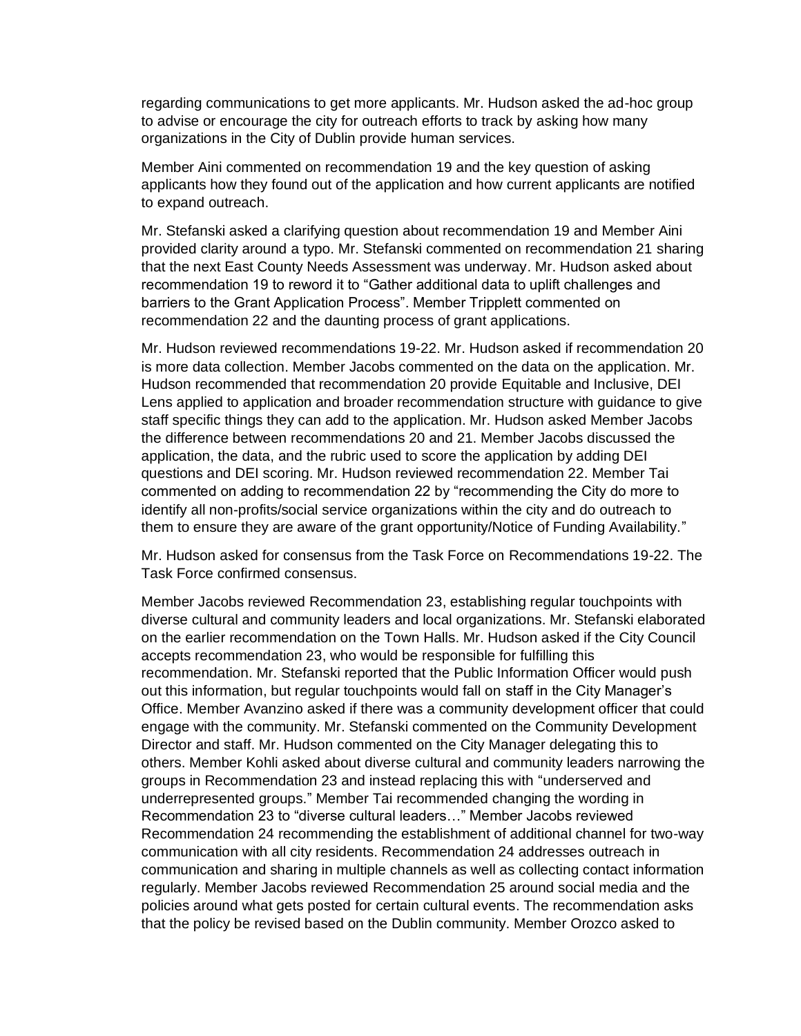regarding communications to get more applicants. Mr. Hudson asked the ad-hoc group to advise or encourage the city for outreach efforts to track by asking how many organizations in the City of Dublin provide human services.

Member Aini commented on recommendation 19 and the key question of asking applicants how they found out of the application and how current applicants are notified to expand outreach.

Mr. Stefanski asked a clarifying question about recommendation 19 and Member Aini provided clarity around a typo. Mr. Stefanski commented on recommendation 21 sharing that the next East County Needs Assessment was underway. Mr. Hudson asked about recommendation 19 to reword it to "Gather additional data to uplift challenges and barriers to the Grant Application Process". Member Tripplett commented on recommendation 22 and the daunting process of grant applications.

Mr. Hudson reviewed recommendations 19-22. Mr. Hudson asked if recommendation 20 is more data collection. Member Jacobs commented on the data on the application. Mr. Hudson recommended that recommendation 20 provide Equitable and Inclusive, DEI Lens applied to application and broader recommendation structure with guidance to give staff specific things they can add to the application. Mr. Hudson asked Member Jacobs the difference between recommendations 20 and 21. Member Jacobs discussed the application, the data, and the rubric used to score the application by adding DEI questions and DEI scoring. Mr. Hudson reviewed recommendation 22. Member Tai commented on adding to recommendation 22 by "recommending the City do more to identify all non-profits/social service organizations within the city and do outreach to them to ensure they are aware of the grant opportunity/Notice of Funding Availability."

Mr. Hudson asked for consensus from the Task Force on Recommendations 19-22. The Task Force confirmed consensus.

Member Jacobs reviewed Recommendation 23, establishing regular touchpoints with diverse cultural and community leaders and local organizations. Mr. Stefanski elaborated on the earlier recommendation on the Town Halls. Mr. Hudson asked if the City Council accepts recommendation 23, who would be responsible for fulfilling this recommendation. Mr. Stefanski reported that the Public Information Officer would push out this information, but regular touchpoints would fall on staff in the City Manager's Office. Member Avanzino asked if there was a community development officer that could engage with the community. Mr. Stefanski commented on the Community Development Director and staff. Mr. Hudson commented on the City Manager delegating this to others. Member Kohli asked about diverse cultural and community leaders narrowing the groups in Recommendation 23 and instead replacing this with "underserved and underrepresented groups." Member Tai recommended changing the wording in Recommendation 23 to "diverse cultural leaders…" Member Jacobs reviewed Recommendation 24 recommending the establishment of additional channel for two-way communication with all city residents. Recommendation 24 addresses outreach in communication and sharing in multiple channels as well as collecting contact information regularly. Member Jacobs reviewed Recommendation 25 around social media and the policies around what gets posted for certain cultural events. The recommendation asks that the policy be revised based on the Dublin community. Member Orozco asked to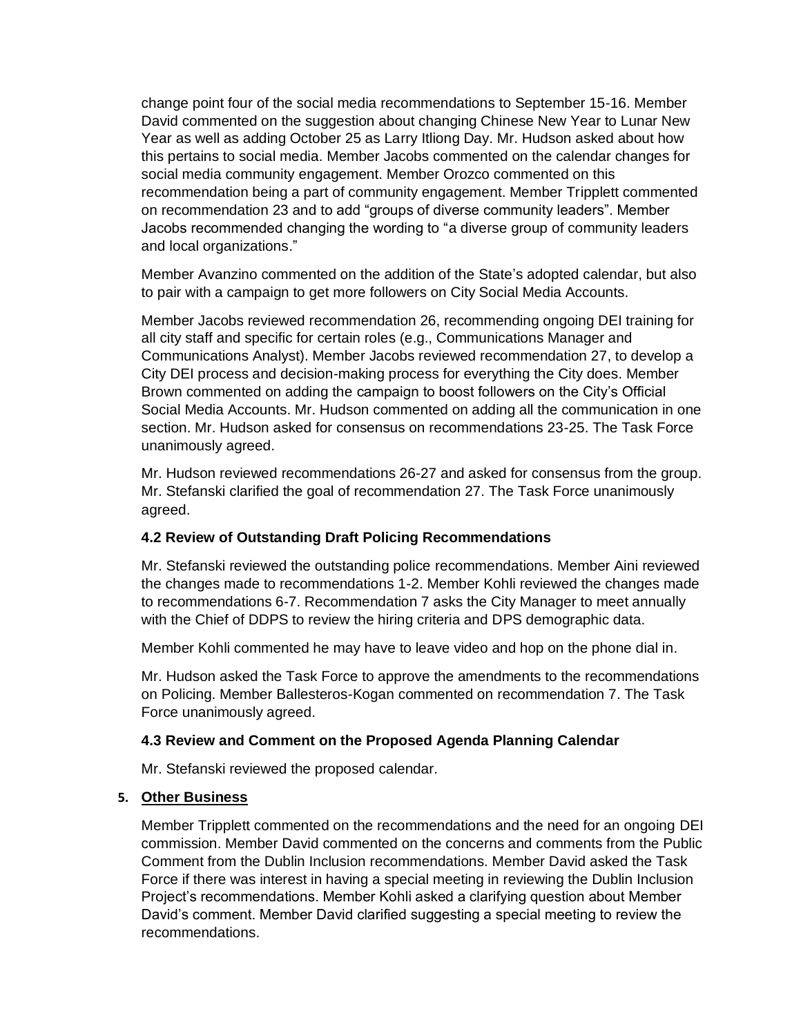change point four of the social media recommendations to September 15-16. Member David commented on the suggestion about changing Chinese New Year to Lunar New Year as well as adding October 25 as Larry Itliong Day. Mr. Hudson asked about how this pertains to social media. Member Jacobs commented on the calendar changes for social media community engagement. Member Orozco commented on this recommendation being a part of community engagement. Member Tripplett commented on recommendation 23 and to add "groups of diverse community leaders". Member Jacobs recommended changing the wording to "a diverse group of community leaders and local organizations."

Member Avanzino commented on the addition of the State's adopted calendar, but also to pair with a campaign to get more followers on City Social Media Accounts.

Member Jacobs reviewed recommendation 26, recommending ongoing DEI training for all city staff and specific for certain roles (e.g., Communications Manager and Communications Analyst). Member Jacobs reviewed recommendation 27, to develop a City DEI process and decision-making process for everything the City does. Member Brown commented on adding the campaign to boost followers on the City's Official Social Media Accounts. Mr. Hudson commented on adding all the communication in one section. Mr. Hudson asked for consensus on recommendations 23-25. The Task Force unanimously agreed.

Mr. Hudson reviewed recommendations 26-27 and asked for consensus from the group. Mr. Stefanski clarified the goal of recommendation 27. The Task Force unanimously agreed.

#### **4.2 Review of Outstanding Draft Policing Recommendations**

Mr. Stefanski reviewed the outstanding police recommendations. Member Aini reviewed the changes made to recommendations 1-2. Member Kohli reviewed the changes made to recommendations 6-7. Recommendation 7 asks the City Manager to meet annually with the Chief of DDPS to review the hiring criteria and DPS demographic data.

Member Kohli commented he may have to leave video and hop on the phone dial in.

Mr. Hudson asked the Task Force to approve the amendments to the recommendations on Policing. Member Ballesteros-Kogan commented on recommendation 7. The Task Force unanimously agreed.

#### **4.3 Review and Comment on the Proposed Agenda Planning Calendar**

Mr. Stefanski reviewed the proposed calendar.

#### **5. Other Business**

Member Tripplett commented on the recommendations and the need for an ongoing DEI commission. Member David commented on the concerns and comments from the Public Comment from the Dublin Inclusion recommendations. Member David asked the Task Force if there was interest in having a special meeting in reviewing the Dublin Inclusion Project's recommendations. Member Kohli asked a clarifying question about Member David's comment. Member David clarified suggesting a special meeting to review the recommendations.